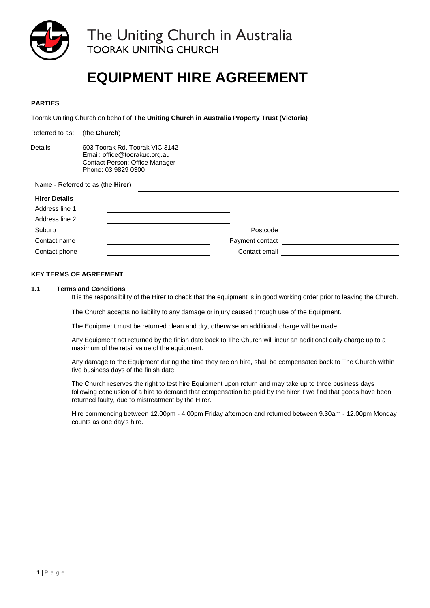

The Uniting Church in Australia<br>TOORAK UNITING CHURCH

# **EQUIPMENT HIRE AGREEMENT**

# **PARTIES**

Toorak Uniting Church on behalf of **The Uniting Church in Australia Property Trust (Victoria)** 

| Referred to as:      | (the Church)                                                                                                             |                 |  |  |  |
|----------------------|--------------------------------------------------------------------------------------------------------------------------|-----------------|--|--|--|
| Details              | 603 Toorak Rd, Toorak VIC 3142<br>Email: office@toorakuc.org.au<br>Contact Person: Office Manager<br>Phone: 03 9829 0300 |                 |  |  |  |
|                      | Name - Referred to as (the <b>Hirer</b> )                                                                                |                 |  |  |  |
| <b>Hirer Details</b> |                                                                                                                          |                 |  |  |  |
| Address line 1       |                                                                                                                          |                 |  |  |  |
| Address line 2       |                                                                                                                          |                 |  |  |  |
| Suburb               |                                                                                                                          | Postcode        |  |  |  |
| Contact name         |                                                                                                                          | Payment contact |  |  |  |
| Contact phone        |                                                                                                                          | Contact email   |  |  |  |

### **KEY TERMS OF AGREEMENT**

#### **1.1 Terms and Conditions**

It is the responsibility of the Hirer to check that the equipment is in good working order prior to leaving the Church.

The Church accepts no liability to any damage or injury caused through use of the Equipment.

The Equipment must be returned clean and dry, otherwise an additional charge will be made.

Any Equipment not returned by the finish date back to The Church will incur an additional daily charge up to a maximum of the retail value of the equipment.

Any damage to the Equipment during the time they are on hire, shall be compensated back to The Church within five business days of the finish date.

The Church reserves the right to test hire Equipment upon return and may take up to three business days following conclusion of a hire to demand that compensation be paid by the hirer if we find that goods have been returned faulty, due to mistreatment by the Hirer.

Hire commencing between 12.00pm - 4.00pm Friday afternoon and returned between 9.30am - 12.00pm Monday counts as one day's hire.